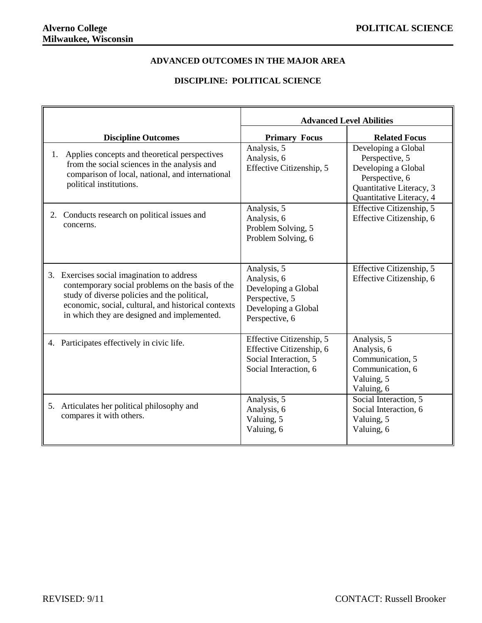## **ADVANCED OUTCOMES IN THE MAJOR AREA**

## **DISCIPLINE: POLITICAL SCIENCE**

|    |                                                                                                                                                                                                                                                   | <b>Advanced Level Abilities</b>                                                                              |                                                                                                                                        |
|----|---------------------------------------------------------------------------------------------------------------------------------------------------------------------------------------------------------------------------------------------------|--------------------------------------------------------------------------------------------------------------|----------------------------------------------------------------------------------------------------------------------------------------|
|    | <b>Discipline Outcomes</b>                                                                                                                                                                                                                        | <b>Primary Focus</b>                                                                                         | <b>Related Focus</b>                                                                                                                   |
| 1. | Applies concepts and theoretical perspectives<br>from the social sciences in the analysis and<br>comparison of local, national, and international<br>political institutions.                                                                      | Analysis, 5<br>Analysis, 6<br>Effective Citizenship, 5                                                       | Developing a Global<br>Perspective, 5<br>Developing a Global<br>Perspective, 6<br>Quantitative Literacy, 3<br>Quantitative Literacy, 4 |
| 2. | Conducts research on political issues and<br>concerns.                                                                                                                                                                                            | Analysis, 5<br>Analysis, 6<br>Problem Solving, 5<br>Problem Solving, 6                                       | Effective Citizenship, 5<br>Effective Citizenship, 6                                                                                   |
| 3. | Exercises social imagination to address<br>contemporary social problems on the basis of the<br>study of diverse policies and the political,<br>economic, social, cultural, and historical contexts<br>in which they are designed and implemented. | Analysis, 5<br>Analysis, 6<br>Developing a Global<br>Perspective, 5<br>Developing a Global<br>Perspective, 6 | Effective Citizenship, 5<br>Effective Citizenship, 6                                                                                   |
| 4. | Participates effectively in civic life.                                                                                                                                                                                                           | Effective Citizenship, 5<br>Effective Citizenship, 6<br>Social Interaction, 5<br>Social Interaction, 6       | Analysis, 5<br>Analysis, 6<br>Communication, 5<br>Communication, 6<br>Valuing, 5<br>Valuing, 6                                         |
|    | 5. Articulates her political philosophy and<br>compares it with others.                                                                                                                                                                           | Analysis, 5<br>Analysis, 6<br>Valuing, 5<br>Valuing, 6                                                       | Social Interaction, 5<br>Social Interaction, 6<br>Valuing, 5<br>Valuing, 6                                                             |